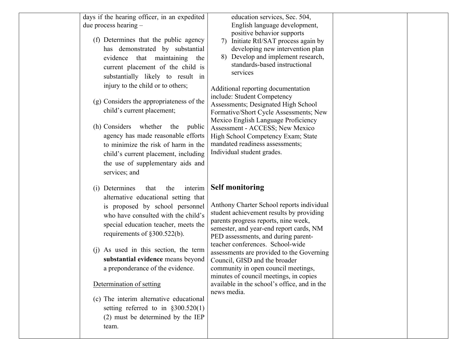| days if the hearing officer, in an expedited<br>due process hearing $-$<br>(f) Determines that the public agency<br>has demonstrated by substantial<br>evidence that maintaining the<br>current placement of the child is<br>substantially likely to result in<br>injury to the child or to others;<br>(g) Considers the appropriateness of the<br>child's current placement;<br>(h) Considers<br>whether<br>the<br>public<br>agency has made reasonable efforts<br>to minimize the risk of harm in the<br>child's current placement, including<br>the use of supplementary aids and<br>services; and | education services, Sec. 504,<br>English language development,<br>positive behavior supports<br>Initiate RtI/SAT process again by<br>7)<br>developing new intervention plan<br>Develop and implement research,<br>8)<br>standards-based instructional<br>services<br>Additional reporting documentation<br>include: Student Competency<br>Assessments; Designated High School<br>Formative/Short Cycle Assessments; New<br>Mexico English Language Proficiency<br>Assessment - ACCESS; New Mexico<br>High School Competency Exam; State<br>mandated readiness assessments;<br>Individual student grades. |  |
|-------------------------------------------------------------------------------------------------------------------------------------------------------------------------------------------------------------------------------------------------------------------------------------------------------------------------------------------------------------------------------------------------------------------------------------------------------------------------------------------------------------------------------------------------------------------------------------------------------|----------------------------------------------------------------------------------------------------------------------------------------------------------------------------------------------------------------------------------------------------------------------------------------------------------------------------------------------------------------------------------------------------------------------------------------------------------------------------------------------------------------------------------------------------------------------------------------------------------|--|
| (i) Determines<br>interim<br>that<br>the<br>alternative educational setting that<br>is proposed by school personnel<br>who have consulted with the child's<br>special education teacher, meets the<br>requirements of $\S 300.522(b)$ .<br>(i) As used in this section, the term<br>substantial evidence means beyond<br>a preponderance of the evidence.<br>Determination of setting<br>(c) The interim alternative educational<br>setting referred to in $\S 300.520(1)$<br>(2) must be determined by the IEP<br>team.                                                                              | <b>Self monitoring</b><br>Anthony Charter School reports individual<br>student achievement results by providing<br>parents progress reports, nine week,<br>semester, and year-end report cards, NM<br>PED assessments, and during parent-<br>teacher conferences. School-wide<br>assessments are provided to the Governing<br>Council, GISD and the broader<br>community in open council meetings,<br>minutes of council meetings, in copies<br>available in the school's office, and in the<br>news media.                                                                                              |  |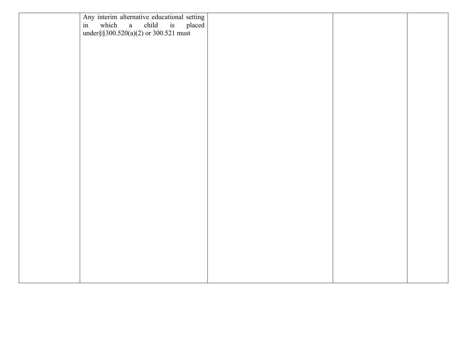| Any interim alternative educational setting<br>in which a child is placed<br>under § \$300.520(a)(2) or 300.521 must |  |  |
|----------------------------------------------------------------------------------------------------------------------|--|--|
|                                                                                                                      |  |  |
|                                                                                                                      |  |  |
|                                                                                                                      |  |  |
|                                                                                                                      |  |  |
|                                                                                                                      |  |  |
|                                                                                                                      |  |  |
|                                                                                                                      |  |  |
|                                                                                                                      |  |  |
|                                                                                                                      |  |  |
|                                                                                                                      |  |  |
|                                                                                                                      |  |  |
|                                                                                                                      |  |  |
|                                                                                                                      |  |  |
|                                                                                                                      |  |  |
|                                                                                                                      |  |  |
|                                                                                                                      |  |  |
|                                                                                                                      |  |  |
|                                                                                                                      |  |  |
|                                                                                                                      |  |  |
|                                                                                                                      |  |  |
|                                                                                                                      |  |  |
|                                                                                                                      |  |  |
|                                                                                                                      |  |  |
|                                                                                                                      |  |  |
|                                                                                                                      |  |  |
|                                                                                                                      |  |  |
|                                                                                                                      |  |  |
|                                                                                                                      |  |  |
|                                                                                                                      |  |  |
|                                                                                                                      |  |  |
|                                                                                                                      |  |  |
|                                                                                                                      |  |  |
|                                                                                                                      |  |  |
|                                                                                                                      |  |  |
|                                                                                                                      |  |  |
|                                                                                                                      |  |  |
|                                                                                                                      |  |  |
|                                                                                                                      |  |  |
|                                                                                                                      |  |  |
|                                                                                                                      |  |  |
|                                                                                                                      |  |  |
|                                                                                                                      |  |  |
|                                                                                                                      |  |  |
|                                                                                                                      |  |  |
|                                                                                                                      |  |  |
|                                                                                                                      |  |  |
|                                                                                                                      |  |  |
|                                                                                                                      |  |  |
|                                                                                                                      |  |  |
|                                                                                                                      |  |  |
|                                                                                                                      |  |  |
|                                                                                                                      |  |  |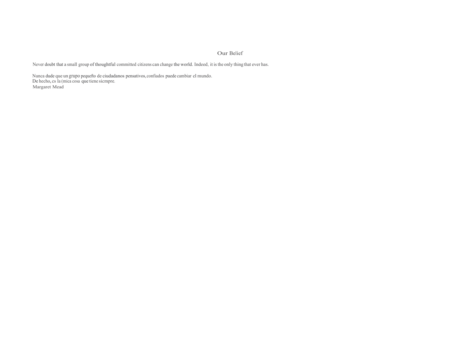## Our Belief

Never doubt that a small group of thoughtful committed citizens can change the world. Indeed, it isthe only thing that ever has.

Nunca dude que un grupo pequefto de ciudadanos pensativos,confiados puede cambiar cl mundo. De hecho,cs Ia (mica cosa que tiene sicmpre. Margaret Mead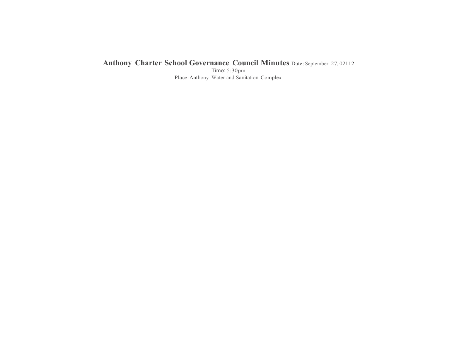## **Anthony Charter School Governance Council Minutes** Date:September 27, <sup>02112</sup>

Time: 5:30pm Place:Anthony Water and Sanitation Complex